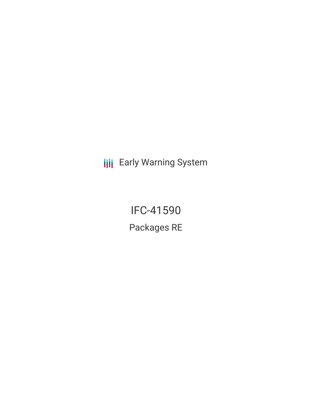**III** Early Warning System

IFC-41590 Packages RE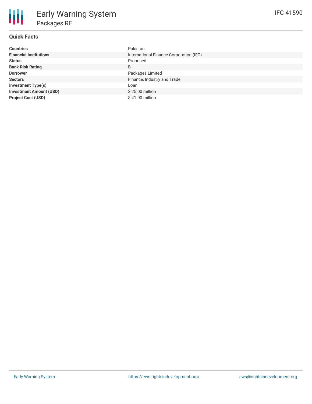# **Quick Facts**

| <b>Countries</b>               | Pakistan                                |  |  |
|--------------------------------|-----------------------------------------|--|--|
| <b>Financial Institutions</b>  | International Finance Corporation (IFC) |  |  |
| <b>Status</b>                  | Proposed                                |  |  |
| <b>Bank Risk Rating</b>        | B                                       |  |  |
| <b>Borrower</b>                | Packages Limited                        |  |  |
| <b>Sectors</b>                 | Finance, Industry and Trade             |  |  |
| <b>Investment Type(s)</b>      | Loan                                    |  |  |
| <b>Investment Amount (USD)</b> | \$25.00 million                         |  |  |
| <b>Project Cost (USD)</b>      | $$41.00$ million                        |  |  |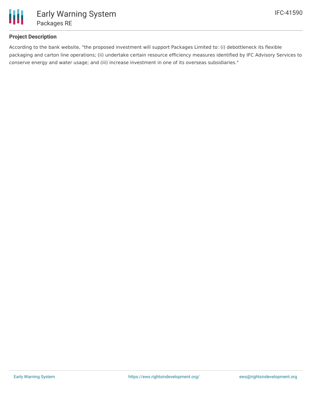

### **Project Description**

According to the bank website, "the proposed investment will support Packages Limited to: (i) debottleneck its flexible packaging and carton line operations; (ii) undertake certain resource efficiency measures identified by IFC Advisory Services to conserve energy and water usage; and (iii) increase investment in one of its overseas subsidiaries."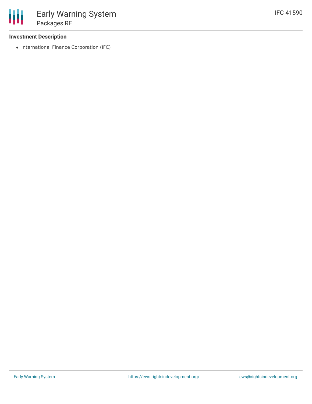#### **Investment Description**

• International Finance Corporation (IFC)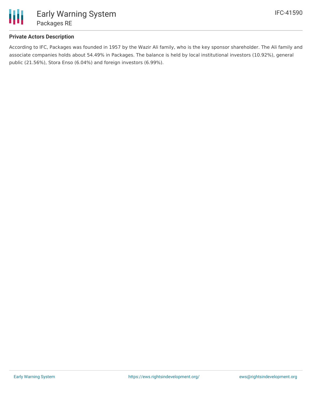

### **Private Actors Description**

According to IFC, Packages was founded in 1957 by the Wazir Ali family, who is the key sponsor shareholder. The Ali family and associate companies holds about 54.49% in Packages. The balance is held by local institutional investors (10.92%), general public (21.56%), Stora Enso (6.04%) and foreign investors (6.99%).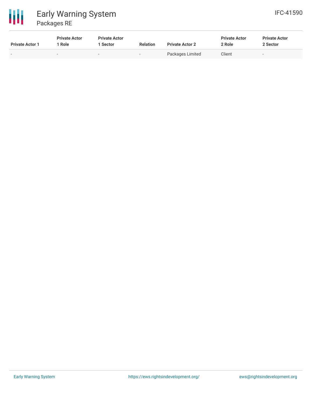

### 冊 Early Warning System Packages RE

| <b>Private Actor 1</b>   | <b>Private Actor</b><br><sup>1</sup> Role | <b>Private Actor</b><br>1 Sector | <b>Relation</b>          | <b>Private Actor 2</b> | <b>Private Actor</b><br>2 Role | <b>Private Actor</b><br>2 Sector |
|--------------------------|-------------------------------------------|----------------------------------|--------------------------|------------------------|--------------------------------|----------------------------------|
| $\overline{\phantom{0}}$ | $\overline{\phantom{a}}$                  | $\overline{\phantom{0}}$         | $\overline{\phantom{a}}$ | Packages Limited       | Client                         | $\overline{\phantom{0}}$         |